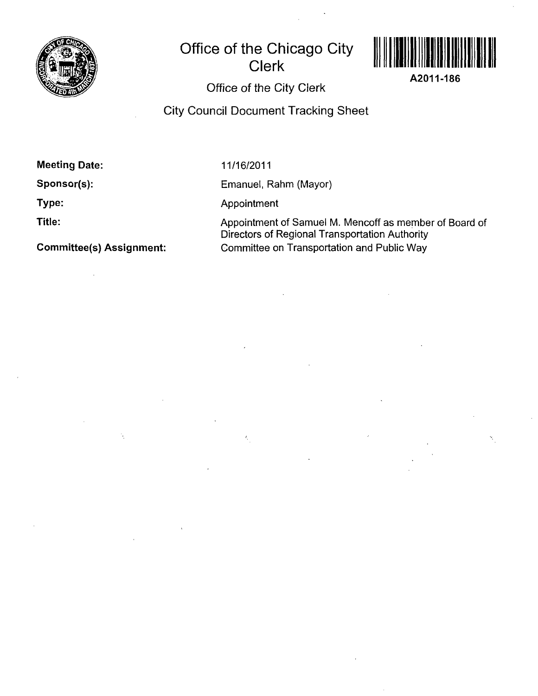

# **Office of the Chicago City Clerk**



**A2011-186** 

# **Office of the City Clerk**

**City Council Document Tracking Sheet** 

**Meeting Date:** 

**Sponsor(s):** 

**Type:** 

**Title:** 

**Committee(s) Assignment:** 

11/16/2011

Emanuel, Rahm (Mayor)

Appointment

 $\hat{\mathbf{c}}_i$ 

Appointment of Samuel M. Mencoff as member of Board of Directors of Regional Transportation Authority Committee on Transportation and Public Way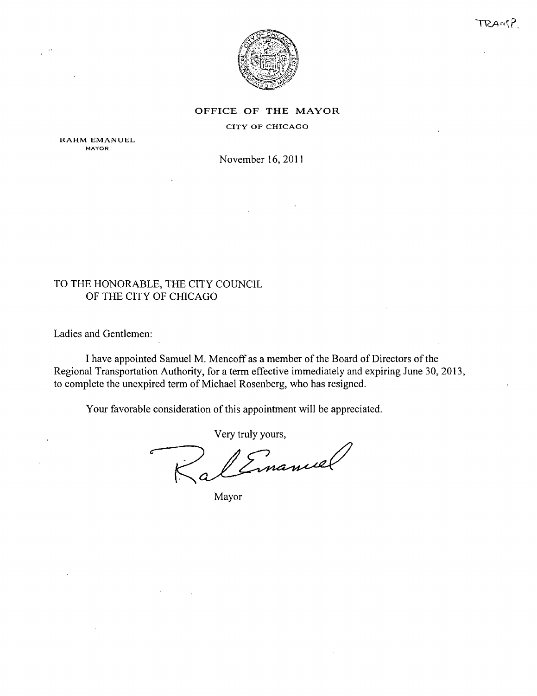



OFFICE OF THE MAYOR

### CITY OF CHICAGO

RAHM EMANUEL MAYOR

November 16, 2011

## TO THE HONORABLE, THE CITY COUNCIL OF THE CITY OF CHICAGO

Ladies and Gentlemen:

I have appointed Samuel M. Mencoff as a member of the Board of Directors of the Regional Transportation Authority, for a term effective immediately and expiring June 30, 2013, to complete the unexpired term of Michael Rosenberg, who has resigned.

Your favorable consideration of this appointment will be appreciated.

Very truly yours.

Mayor